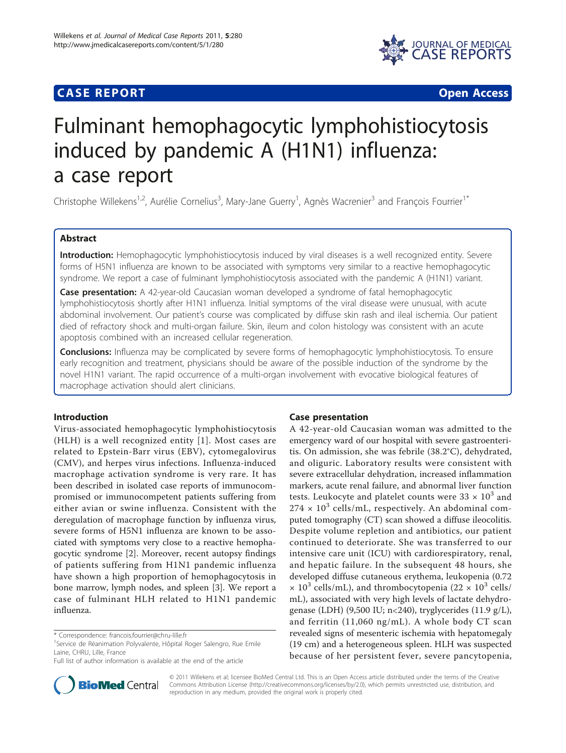## **CASE REPORT CASE REPORT CASE REPORT**



# Fulminant hemophagocytic lymphohistiocytosis induced by pandemic A (H1N1) influenza: a case report

Christophe Willekens<sup>1,2</sup>, Aurélie Cornelius<sup>3</sup>, Mary-Jane Guerry<sup>1</sup>, Agnès Wacrenier<sup>3</sup> and François Fourrier<sup>1\*</sup>

## Abstract

Introduction: Hemophagocytic lymphohistiocytosis induced by viral diseases is a well recognized entity. Severe forms of H5N1 influenza are known to be associated with symptoms very similar to a reactive hemophagocytic syndrome. We report a case of fulminant lymphohistiocytosis associated with the pandemic A (H1N1) variant.

Case presentation: A 42-year-old Caucasian woman developed a syndrome of fatal hemophagocytic lymphohistiocytosis shortly after H1N1 influenza. Initial symptoms of the viral disease were unusual, with acute abdominal involvement. Our patient's course was complicated by diffuse skin rash and ileal ischemia. Our patient died of refractory shock and multi-organ failure. Skin, ileum and colon histology was consistent with an acute apoptosis combined with an increased cellular regeneration.

**Conclusions:** Influenza may be complicated by severe forms of hemophagocytic lymphohistiocytosis. To ensure early recognition and treatment, physicians should be aware of the possible induction of the syndrome by the novel H1N1 variant. The rapid occurrence of a multi-organ involvement with evocative biological features of macrophage activation should alert clinicians.

## Introduction

Virus-associated hemophagocytic lymphohistiocytosis (HLH) is a well recognized entity [[1](#page-3-0)]. Most cases are related to Epstein-Barr virus (EBV), cytomegalovirus (CMV), and herpes virus infections. Influenza-induced macrophage activation syndrome is very rare. It has been described in isolated case reports of immunocompromised or immunocompetent patients suffering from either avian or swine influenza. Consistent with the deregulation of macrophage function by influenza virus, severe forms of H5N1 influenza are known to be associated with symptoms very close to a reactive hemophagocytic syndrome [\[2](#page-3-0)]. Moreover, recent autopsy findings of patients suffering from H1N1 pandemic influenza have shown a high proportion of hemophagocytosis in bone marrow, lymph nodes, and spleen [\[3](#page-3-0)]. We report a case of fulminant HLH related to H1N1 pandemic influenza.



A 42-year-old Caucasian woman was admitted to the emergency ward of our hospital with severe gastroenteritis. On admission, she was febrile (38.2°C), dehydrated, and oliguric. Laboratory results were consistent with severe extracellular dehydration, increased inflammation markers, acute renal failure, and abnormal liver function tests. Leukocyte and platelet counts were  $33 \times 10^3$  and  $274 \times 10^3$  cells/mL, respectively. An abdominal computed tomography (CT) scan showed a diffuse ileocolitis. Despite volume repletion and antibiotics, our patient continued to deteriorate. She was transferred to our intensive care unit (ICU) with cardiorespiratory, renal, and hepatic failure. In the subsequent 48 hours, she developed diffuse cutaneous erythema, leukopenia (0.72  $\times$  10<sup>3</sup> cells/mL), and thrombocytopenia (22  $\times$  10<sup>3</sup> cells/ mL), associated with very high levels of lactate dehydrogenase (LDH) (9,500 IU; n<240), tryglycerides (11.9 g/L), and ferritin (11,060 ng/mL). A whole body CT scan revealed signs of mesenteric ischemia with hepatomegaly (19 cm) and a heterogeneous spleen. HLH was suspected because of her persistent fever, severe pancytopenia,



© 2011 Willekens et al; licensee BioMed Central Ltd. This is an Open Access article distributed under the terms of the Creative Commons Attribution License [\(http://creativecommons.org/licenses/by/2.0](http://creativecommons.org/licenses/by/2.0)), which permits unrestricted use, distribution, and reproduction in any medium, provided the original work is properly cited.

<sup>\*</sup> Correspondence: [francois.fourrier@chru-lille.fr](mailto:francois.fourrier@chru-lille.fr)

<sup>&</sup>lt;sup>1</sup>Service de Réanimation Polyvalente, Hôpital Roger Salengro, Rue Emile Laine, CHRU, Lille, France

Full list of author information is available at the end of the article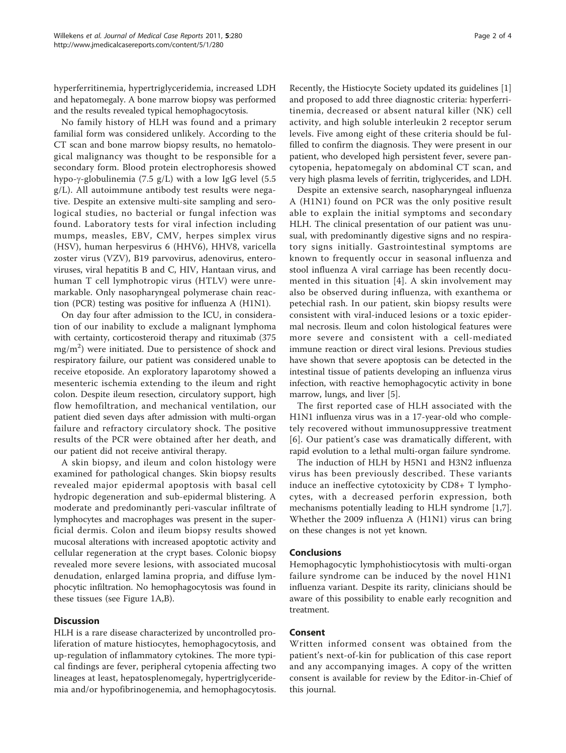hyperferritinemia, hypertriglyceridemia, increased LDH and hepatomegaly. A bone marrow biopsy was performed and the results revealed typical hemophagocytosis.

No family history of HLH was found and a primary familial form was considered unlikely. According to the CT scan and bone marrow biopsy results, no hematological malignancy was thought to be responsible for a secondary form. Blood protein electrophoresis showed hypo- $\gamma$ -globulinemia (7.5 g/L) with a low IgG level (5.5 g/L). All autoimmune antibody test results were negative. Despite an extensive multi-site sampling and serological studies, no bacterial or fungal infection was found. Laboratory tests for viral infection including mumps, measles, EBV, CMV, herpes simplex virus (HSV), human herpesvirus 6 (HHV6), HHV8, varicella zoster virus (VZV), B19 parvovirus, adenovirus, enteroviruses, viral hepatitis B and C, HIV, Hantaan virus, and human T cell lymphotropic virus (HTLV) were unremarkable. Only nasopharyngeal polymerase chain reaction (PCR) testing was positive for influenza A (H1N1).

On day four after admission to the ICU, in consideration of our inability to exclude a malignant lymphoma with certainty, corticosteroid therapy and rituximab (375  $\text{mg/m}^2)$  were initiated. Due to persistence of shock and respiratory failure, our patient was considered unable to receive etoposide. An exploratory laparotomy showed a mesenteric ischemia extending to the ileum and right colon. Despite ileum resection, circulatory support, high flow hemofiltration, and mechanical ventilation, our patient died seven days after admission with multi-organ failure and refractory circulatory shock. The positive results of the PCR were obtained after her death, and our patient did not receive antiviral therapy.

A skin biopsy, and ileum and colon histology were examined for pathological changes. Skin biopsy results revealed major epidermal apoptosis with basal cell hydropic degeneration and sub-epidermal blistering. A moderate and predominantly peri-vascular infiltrate of lymphocytes and macrophages was present in the superficial dermis. Colon and ileum biopsy results showed mucosal alterations with increased apoptotic activity and cellular regeneration at the crypt bases. Colonic biopsy revealed more severe lesions, with associated mucosal denudation, enlarged lamina propria, and diffuse lymphocytic infiltration. No hemophagocytosis was found in these tissues (see Figure [1A,B](#page-2-0)).

## **Discussion**

HLH is a rare disease characterized by uncontrolled proliferation of mature histiocytes, hemophagocytosis, and up-regulation of inflammatory cytokines. The more typical findings are fever, peripheral cytopenia affecting two lineages at least, hepatosplenomegaly, hypertriglyceridemia and/or hypofibrinogenemia, and hemophagocytosis. Recently, the Histiocyte Society updated its guidelines [[1](#page-3-0)] and proposed to add three diagnostic criteria: hyperferritinemia, decreased or absent natural killer (NK) cell activity, and high soluble interleukin 2 receptor serum levels. Five among eight of these criteria should be fulfilled to confirm the diagnosis. They were present in our patient, who developed high persistent fever, severe pancytopenia, hepatomegaly on abdominal CT scan, and very high plasma levels of ferritin, triglycerides, and LDH.

Despite an extensive search, nasopharyngeal influenza A (H1N1) found on PCR was the only positive result able to explain the initial symptoms and secondary HLH. The clinical presentation of our patient was unusual, with predominantly digestive signs and no respiratory signs initially. Gastrointestinal symptoms are known to frequently occur in seasonal influenza and stool influenza A viral carriage has been recently documented in this situation [\[4\]](#page-3-0). A skin involvement may also be observed during influenza, with exanthema or petechial rash. In our patient, skin biopsy results were consistent with viral-induced lesions or a toxic epidermal necrosis. Ileum and colon histological features were more severe and consistent with a cell-mediated immune reaction or direct viral lesions. Previous studies have shown that severe apoptosis can be detected in the intestinal tissue of patients developing an influenza virus infection, with reactive hemophagocytic activity in bone marrow, lungs, and liver [\[5\]](#page-3-0).

The first reported case of HLH associated with the H1N1 influenza virus was in a 17-year-old who completely recovered without immunosuppressive treatment [[6](#page-3-0)]. Our patient's case was dramatically different, with rapid evolution to a lethal multi-organ failure syndrome.

The induction of HLH by H5N1 and H3N2 influenza virus has been previously described. These variants induce an ineffective cytotoxicity by CD8+ T lymphocytes, with a decreased perforin expression, both mechanisms potentially leading to HLH syndrome [\[1,7](#page-3-0)]. Whether the 2009 influenza A (H1N1) virus can bring on these changes is not yet known.

## Conclusions

Hemophagocytic lymphohistiocytosis with multi-organ failure syndrome can be induced by the novel H1N1 influenza variant. Despite its rarity, clinicians should be aware of this possibility to enable early recognition and treatment.

### Consent

Written informed consent was obtained from the patient's next-of-kin for publication of this case report and any accompanying images. A copy of the written consent is available for review by the Editor-in-Chief of this journal.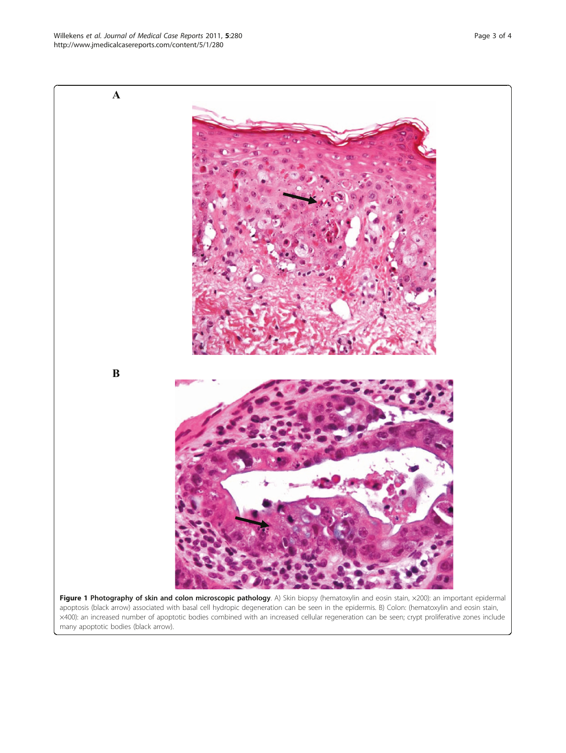<span id="page-2-0"></span>